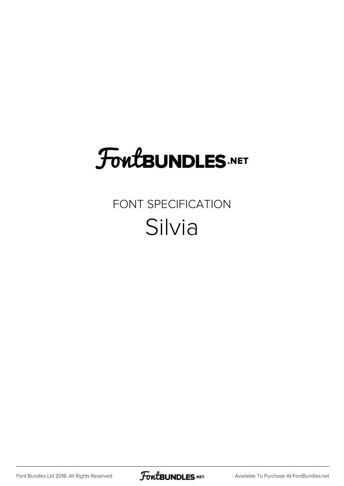## **FoutBUNDLES.NET**

### FONT SPECIFICATION Silvia

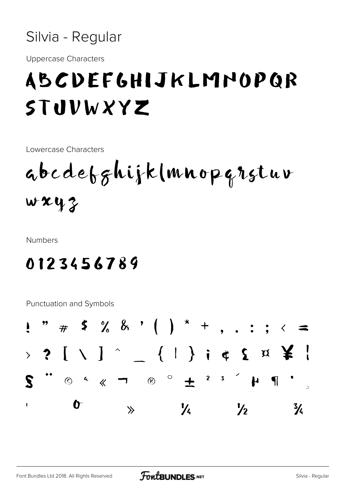

**Uppercase Characters** 

## ABCDEFGHIJKLMNOPQR STUVWXYZ

Lowercase Characters

abedebghijk(mnopqrstuv  $wxyz$ 

**Numbers** 

#### 0123456789

**Punctuation and Symbols** 

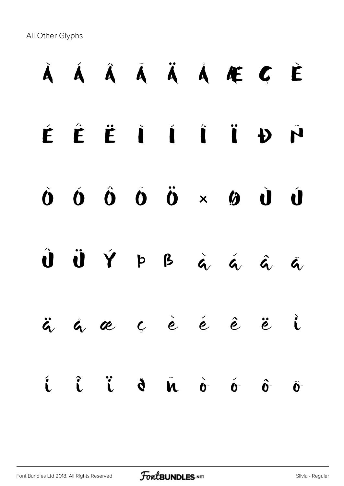All Other Glyphs

# À Á Â Ã Ä Å Æ Ç È É Ê Ë Ì Í Î Ï Ð Ñ  $\dot{\mathbf{O}} \quad \dot{\mathbf{O}} \quad \dot{\mathbf{O}} \quad \dot{\mathbf{O}} \quad \dot{\mathbf{O}} \quad \dot{\mathbf{O}} \quad \dot{\mathbf{O}} \quad \dot{\mathbf{O}} \quad \dot{\mathbf{O}} \quad \dot{\mathbf{O}} \quad \dot{\mathbf{O}}$  $\hat{\mathbf{U}}$   $\hat{\mathbf{U}}$   $\hat{\mathbf{Y}}$   $p$   $p$   $\hat{q}$   $\hat{q}$   $\hat{q}$   $\hat{q}$   $\hat{q}$ ä å æ ç è é ê ë ì í î ï ð ñ ò ó ô õ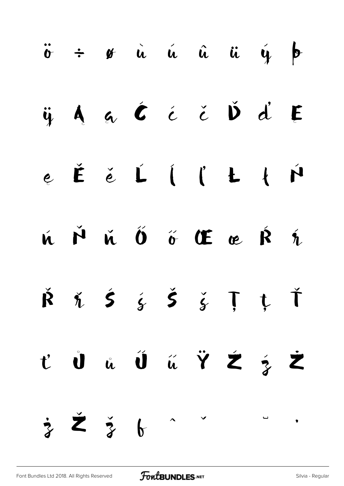